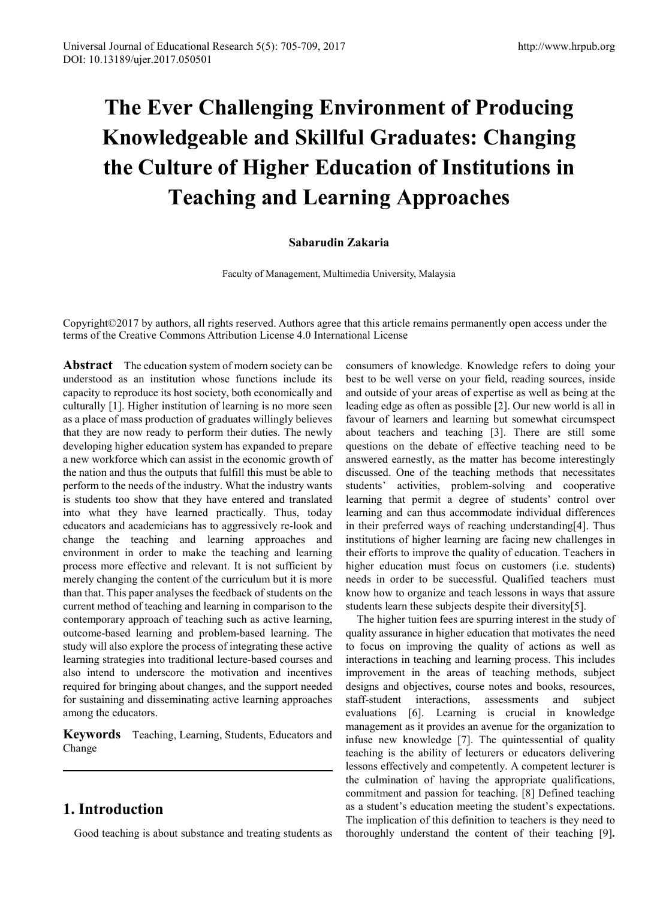# **The Ever Challenging Environment of Producing Knowledgeable and Skillful Graduates: Changing the Culture of Higher Education of Institutions in Teaching and Learning Approaches**

#### **Sabarudin Zakaria**

Faculty of Management, Multimedia University, Malaysia

Copyright©2017 by authors, all rights reserved. Authors agree that this article remains permanently open access under the terms of the Creative Commons Attribution License 4.0 International License

Abstract The education system of modern society can be understood as an institution whose functions include its capacity to reproduce its host society, both economically and culturally [1]. Higher institution of learning is no more seen as a place of mass production of graduates willingly believes that they are now ready to perform their duties. The newly developing higher education system has expanded to prepare a new workforce which can assist in the economic growth of the nation and thus the outputs that fulfill this must be able to perform to the needs of the industry. What the industry wants is students too show that they have entered and translated into what they have learned practically. Thus, today educators and academicians has to aggressively re-look and change the teaching and learning approaches and environment in order to make the teaching and learning process more effective and relevant. It is not sufficient by merely changing the content of the curriculum but it is more than that. This paper analyses the feedback of students on the current method of teaching and learning in comparison to the contemporary approach of teaching such as active learning, outcome-based learning and problem-based learning. The study will also explore the process of integrating these active learning strategies into traditional lecture-based courses and also intend to underscore the motivation and incentives required for bringing about changes, and the support needed for sustaining and disseminating active learning approaches among the educators.

**Keywords** Teaching, Learning, Students, Educators and Change

# **1. Introduction**

Good teaching is about substance and treating students as

consumers of knowledge. Knowledge refers to doing your best to be well verse on your field, reading sources, inside and outside of your areas of expertise as well as being at the leading edge as often as possible [2]. Our new world is all in favour of learners and learning but somewhat circumspect about teachers and teaching [3]. There are still some questions on the debate of effective teaching need to be answered earnestly, as the matter has become interestingly discussed. One of the teaching methods that necessitates students' activities, problem-solving and cooperative learning that permit a degree of students' control over learning and can thus accommodate individual differences in their preferred ways of reaching understanding[4]. Thus institutions of higher learning are facing new challenges in their efforts to improve the quality of education. Teachers in higher education must focus on customers (i.e. students) needs in order to be successful. Qualified teachers must know how to organize and teach lessons in ways that assure students learn these subjects despite their diversity[5].

The higher tuition fees are spurring interest in the study of quality assurance in higher education that motivates the need to focus on improving the quality of actions as well as interactions in teaching and learning process. This includes improvement in the areas of teaching methods, subject designs and objectives, course notes and books, resources, staff-student interactions, assessments and subject evaluations [6]. Learning is crucial in knowledge management as it provides an avenue for the organization to infuse new knowledge [7]. The quintessential of quality teaching is the ability of lecturers or educators delivering lessons effectively and competently. A competent lecturer is the culmination of having the appropriate qualifications, commitment and passion for teaching. [8] Defined teaching as a student's education meeting the student's expectations. The implication of this definition to teachers is they need to thoroughly understand the content of their teaching [9]**.**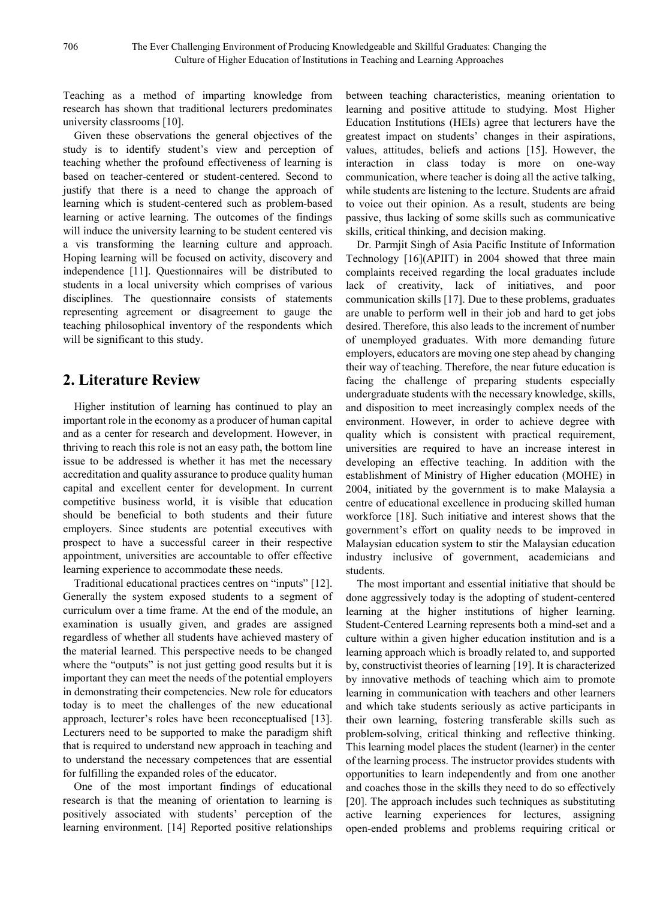Teaching as a method of imparting knowledge from research has shown that traditional lecturers predominates university classrooms [10].

Given these observations the general objectives of the study is to identify student's view and perception of teaching whether the profound effectiveness of learning is based on teacher-centered or student-centered. Second to justify that there is a need to change the approach of learning which is student-centered such as problem-based learning or active learning. The outcomes of the findings will induce the university learning to be student centered vis a vis transforming the learning culture and approach. Hoping learning will be focused on activity, discovery and independence [11]. Questionnaires will be distributed to students in a local university which comprises of various disciplines. The questionnaire consists of statements representing agreement or disagreement to gauge the teaching philosophical inventory of the respondents which will be significant to this study.

## **2. Literature Review**

Higher institution of learning has continued to play an important role in the economy as a producer of human capital and as a center for research and development. However, in thriving to reach this role is not an easy path, the bottom line issue to be addressed is whether it has met the necessary accreditation and quality assurance to produce quality human capital and excellent center for development. In current competitive business world, it is visible that education should be beneficial to both students and their future employers. Since students are potential executives with prospect to have a successful career in their respective appointment, universities are accountable to offer effective learning experience to accommodate these needs.

Traditional educational practices centres on "inputs" [12]. Generally the system exposed students to a segment of curriculum over a time frame. At the end of the module, an examination is usually given, and grades are assigned regardless of whether all students have achieved mastery of the material learned. This perspective needs to be changed where the "outputs" is not just getting good results but it is important they can meet the needs of the potential employers in demonstrating their competencies. New role for educators today is to meet the challenges of the new educational approach, lecturer's roles have been reconceptualised [13]. Lecturers need to be supported to make the paradigm shift that is required to understand new approach in teaching and to understand the necessary competences that are essential for fulfilling the expanded roles of the educator.

One of the most important findings of educational research is that the meaning of orientation to learning is positively associated with students' perception of the learning environment. [14] Reported positive relationships

between teaching characteristics, meaning orientation to learning and positive attitude to studying. Most Higher Education Institutions (HEIs) agree that lecturers have the greatest impact on students' changes in their aspirations, values, attitudes, beliefs and actions [15]. However, the interaction in class today is more on one-way communication, where teacher is doing all the active talking, while students are listening to the lecture. Students are afraid to voice out their opinion. As a result, students are being passive, thus lacking of some skills such as communicative skills, critical thinking, and decision making.

Dr. Parmjit Singh of Asia Pacific Institute of Information Technology [16](APIIT) in 2004 showed that three main complaints received regarding the local graduates include lack of creativity, lack of initiatives, and poor communication skills [17]. Due to these problems, graduates are unable to perform well in their job and hard to get jobs desired. Therefore, this also leads to the increment of number of unemployed graduates. With more demanding future employers, educators are moving one step ahead by changing their way of teaching. Therefore, the near future education is facing the challenge of preparing students especially undergraduate students with the necessary knowledge, skills, and disposition to meet increasingly complex needs of the environment. However, in order to achieve degree with quality which is consistent with practical requirement, universities are required to have an increase interest in developing an effective teaching. In addition with the establishment of Ministry of Higher education (MOHE) in 2004, initiated by the government is to make Malaysia a centre of educational excellence in producing skilled human workforce [18]. Such initiative and interest shows that the government's effort on quality needs to be improved in Malaysian education system to stir the Malaysian education industry inclusive of government, academicians and students.

The most important and essential initiative that should be done aggressively today is the adopting of student-centered learning at the higher institutions of higher learning. Student-Centered Learning represents both a mind-set and a culture within a given higher education institution and is a learning approach which is broadly related to, and supported by, constructivist theories of learning [19]. It is characterized by innovative methods of teaching which aim to promote learning in communication with teachers and other learners and which take students seriously as active participants in their own learning, fostering transferable skills such as problem-solving, critical thinking and reflective thinking. This learning model places the student (learner) in the center of the learning process. The instructor provides students with opportunities to learn independently and from one another and coaches those in the skills they need to do so effectively [20]. The approach includes such techniques as substituting active learning experiences for lectures, assigning open-ended problems and problems requiring critical or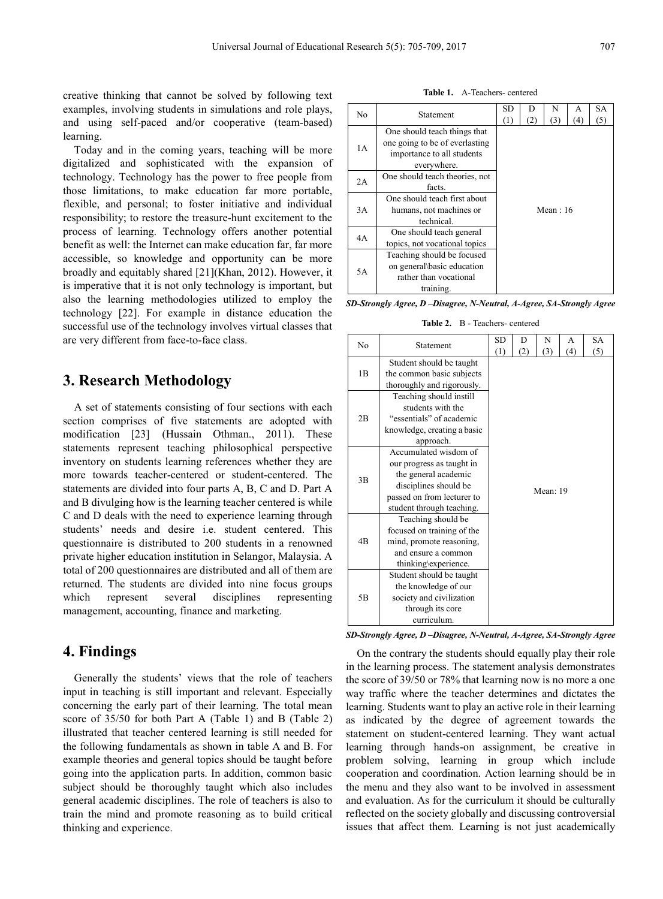creative thinking that cannot be solved by following text examples, involving students in simulations and role plays, and using self-paced and/or cooperative (team-based) learning.

Today and in the coming years, teaching will be more digitalized and sophisticated with the expansion of technology. Technology has the power to free people from those limitations, to make education far more portable, flexible, and personal; to foster initiative and individual responsibility; to restore the treasure-hunt excitement to the process of learning. Technology offers another potential benefit as well: the Internet can make education far, far more accessible, so knowledge and opportunity can be more broadly and equitably shared [21](Khan, 2012). However, it is imperative that it is not only technology is important, but also the learning methodologies utilized to employ the technology [22]. For example in distance education the successful use of the technology involves virtual classes that are very different from face-to-face class.

#### **3. Research Methodology**

A set of statements consisting of four sections with each section comprises of five statements are adopted with modification [23] (Hussain Othman., 2011). These statements represent teaching philosophical perspective inventory on students learning references whether they are more towards teacher-centered or student-centered. The statements are divided into four parts A, B, C and D. Part A and B divulging how is the learning teacher centered is while C and D deals with the need to experience learning through students' needs and desire i.e. student centered. This questionnaire is distributed to 200 students in a renowned private higher education institution in Selangor, Malaysia. A total of 200 questionnaires are distributed and all of them are returned. The students are divided into nine focus groups which represent several disciplines representing management, accounting, finance and marketing.

#### **4. Findings**

Generally the students' views that the role of teachers input in teaching is still important and relevant. Especially concerning the early part of their learning. The total mean score of 35/50 for both Part A (Table 1) and B (Table 2) illustrated that teacher centered learning is still needed for the following fundamentals as shown in table A and B. For example theories and general topics should be taught before going into the application parts. In addition, common basic subject should be thoroughly taught which also includes general academic disciplines. The role of teachers is also to train the mind and promote reasoning as to build critical thinking and experience.

**Table 1.** A-Teachers- centered

| No | <b>Statement</b>               | SD<br>(1)  | D   | N   | A   | SА  |  |  |  |
|----|--------------------------------|------------|-----|-----|-----|-----|--|--|--|
|    |                                |            | (2) | (3) | (4) | (5) |  |  |  |
|    | One should teach things that   |            |     |     |     |     |  |  |  |
| 1A | one going to be of everlasting |            |     |     |     |     |  |  |  |
|    | importance to all students     |            |     |     |     |     |  |  |  |
|    | everywhere.                    |            |     |     |     |     |  |  |  |
| 2A | One should teach theories, not | Mean: $16$ |     |     |     |     |  |  |  |
|    | facts.                         |            |     |     |     |     |  |  |  |
|    | One should teach first about   |            |     |     |     |     |  |  |  |
| 3A | humans, not machines or        |            |     |     |     |     |  |  |  |
|    | technical.                     |            |     |     |     |     |  |  |  |
| 4A | One should teach general       |            |     |     |     |     |  |  |  |
|    | topics, not vocational topics  |            |     |     |     |     |  |  |  |
|    | Teaching should be focused     |            |     |     |     |     |  |  |  |
| 5A | on general basic education     |            |     |     |     |     |  |  |  |
|    | rather than vocational         |            |     |     |     |     |  |  |  |
|    | training.                      |            |     |     |     |     |  |  |  |

*SD-Strongly Agree, D –Disagree, N-Neutral, A-Agree, SA-Strongly Agree*

**Table 2.** B - Teachers- centered

| No             | Statement                                                                                                                                                      | SD<br>(1) | D<br>(2) | N<br>(3) | A<br>(4) | <b>SA</b><br>(5) |  |  |
|----------------|----------------------------------------------------------------------------------------------------------------------------------------------------------------|-----------|----------|----------|----------|------------------|--|--|
| 1B             | Student should be taught<br>the common basic subjects<br>thoroughly and rigorously.                                                                            |           |          |          |          |                  |  |  |
| 2B             | Teaching should instill<br>students with the<br>"essentials" of academic<br>knowledge, creating a basic<br>approach.                                           |           |          |          |          |                  |  |  |
| 3B             | Accumulated wisdom of<br>our progress as taught in<br>the general academic<br>disciplines should be<br>passed on from lecturer to<br>student through teaching. | Mean: 19  |          |          |          |                  |  |  |
| 4 <sub>B</sub> | Teaching should be<br>focused on training of the<br>mind, promote reasoning,<br>and ensure a common<br>thinking\experience.                                    |           |          |          |          |                  |  |  |
| 5 <sub>B</sub> | Student should be taught<br>the knowledge of our<br>society and civilization<br>through its core<br>curriculum.                                                |           |          |          |          |                  |  |  |

*SD-Strongly Agree, D –Disagree, N-Neutral, A-Agree, SA-Strongly Agree*

On the contrary the students should equally play their role in the learning process. The statement analysis demonstrates the score of 39/50 or 78% that learning now is no more a one way traffic where the teacher determines and dictates the learning. Students want to play an active role in their learning as indicated by the degree of agreement towards the statement on student-centered learning. They want actual learning through hands-on assignment, be creative in problem solving, learning in group which include cooperation and coordination. Action learning should be in the menu and they also want to be involved in assessment and evaluation. As for the curriculum it should be culturally reflected on the society globally and discussing controversial issues that affect them. Learning is not just academically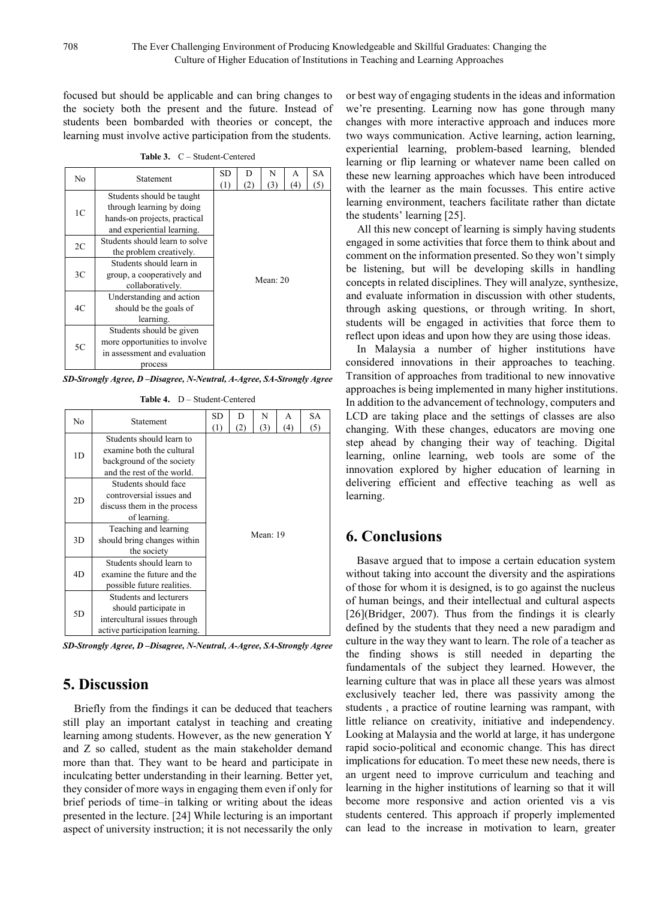focused but should be applicable and can bring changes to the society both the present and the future. Instead of students been bombarded with theories or concept, the learning must involve active participation from the students.

**Table 3.** C – Student-Centered

| N <sub>0</sub> | <b>Statement</b>               | SD. | D   | N                        | A | SА  |  |  |  |  |
|----------------|--------------------------------|-----|-----|--------------------------|---|-----|--|--|--|--|
|                |                                | (1) | (2) | (3)<br>(4)<br>Mean: $20$ |   | (5) |  |  |  |  |
|                | Students should be taught      |     |     |                          |   |     |  |  |  |  |
| 1 <sup>C</sup> | through learning by doing      |     |     |                          |   |     |  |  |  |  |
|                | hands-on projects, practical   |     |     |                          |   |     |  |  |  |  |
|                | and experiential learning.     |     |     |                          |   |     |  |  |  |  |
| 2C             | Students should learn to solve |     |     |                          |   |     |  |  |  |  |
|                | the problem creatively.        |     |     |                          |   |     |  |  |  |  |
|                | Students should learn in       |     |     |                          |   |     |  |  |  |  |
| 3C             | group, a cooperatively and     |     |     |                          |   |     |  |  |  |  |
|                | collaboratively.               |     |     |                          |   |     |  |  |  |  |
|                | Understanding and action       |     |     |                          |   |     |  |  |  |  |
| 4C             | should be the goals of         |     |     |                          |   |     |  |  |  |  |
|                | learning.                      |     |     |                          |   |     |  |  |  |  |
|                | Students should be given       |     |     |                          |   |     |  |  |  |  |
| 5C             | more opportunities to involve  |     |     |                          |   |     |  |  |  |  |
|                | in assessment and evaluation   |     |     |                          |   |     |  |  |  |  |
|                | process                        |     |     |                          |   |     |  |  |  |  |

*SD-Strongly Agree, D –Disagree, N-Neutral, A-Agree, SA-Strongly Agree*

**Table 4.** D – Student-Centered

| No | Statement                      | <b>SD</b>  | D   | N   | A   | <b>SA</b> |  |  |  |  |
|----|--------------------------------|------------|-----|-----|-----|-----------|--|--|--|--|
|    |                                | (1)        | (2) | (3) | (4) | (5)       |  |  |  |  |
|    | Students should learn to       |            |     |     |     |           |  |  |  |  |
| 1D | examine both the cultural      |            |     |     |     |           |  |  |  |  |
|    | background of the society      |            |     |     |     |           |  |  |  |  |
|    | and the rest of the world.     |            |     |     |     |           |  |  |  |  |
|    | Students should face           | Mean: $19$ |     |     |     |           |  |  |  |  |
| 2D | controversial issues and       |            |     |     |     |           |  |  |  |  |
|    | discuss them in the process    |            |     |     |     |           |  |  |  |  |
|    | of learning.                   |            |     |     |     |           |  |  |  |  |
|    | Teaching and learning          |            |     |     |     |           |  |  |  |  |
| 3D | should bring changes within    |            |     |     |     |           |  |  |  |  |
|    | the society                    |            |     |     |     |           |  |  |  |  |
|    | Students should learn to       |            |     |     |     |           |  |  |  |  |
| 4D | examine the future and the     |            |     |     |     |           |  |  |  |  |
|    | possible future realities.     |            |     |     |     |           |  |  |  |  |
|    | Students and lecturers         |            |     |     |     |           |  |  |  |  |
| 5D | should participate in          |            |     |     |     |           |  |  |  |  |
|    | intercultural issues through   |            |     |     |     |           |  |  |  |  |
|    | active participation learning. |            |     |     |     |           |  |  |  |  |

*SD-Strongly Agree, D –Disagree, N-Neutral, A-Agree, SA-Strongly Agree*

### **5. Discussion**

Briefly from the findings it can be deduced that teachers still play an important catalyst in teaching and creating learning among students. However, as the new generation Y and Z so called, student as the main stakeholder demand more than that. They want to be heard and participate in inculcating better understanding in their learning. Better yet, they consider of more ways in engaging them even if only for brief periods of time–in talking or writing about the ideas presented in the lecture. [24] While lecturing is an important aspect of university instruction; it is not necessarily the only

or best way of engaging students in the ideas and information we're presenting. Learning now has gone through many changes with more interactive approach and induces more two ways communication. Active learning, action learning, experiential learning, problem-based learning, blended learning or flip learning or whatever name been called on these new learning approaches which have been introduced with the learner as the main focusses. This entire active learning environment, teachers facilitate rather than dictate the students' learning [25].

All this new concept of learning is simply having students engaged in some activities that force them to think about and comment on the information presented. So they won't simply be listening, but will be developing skills in handling concepts in related disciplines. They will analyze, synthesize, and evaluate information in discussion with other students, through asking questions, or through writing. In short, students will be engaged in activities that force them to reflect upon ideas and upon how they are using those ideas.

In Malaysia a number of higher institutions have considered innovations in their approaches to teaching. Transition of approaches from traditional to new innovative approaches is being implemented in many higher institutions. In addition to the advancement of technology, computers and LCD are taking place and the settings of classes are also changing. With these changes, educators are moving one step ahead by changing their way of teaching. Digital learning, online learning, web tools are some of the innovation explored by higher education of learning in delivering efficient and effective teaching as well as learning.

#### **6. Conclusions**

Basave argued that to impose a certain education system without taking into account the diversity and the aspirations of those for whom it is designed, is to go against the nucleus of human beings, and their intellectual and cultural aspects [26](Bridger, 2007). Thus from the findings it is clearly defined by the students that they need a new paradigm and culture in the way they want to learn. The role of a teacher as the finding shows is still needed in departing the fundamentals of the subject they learned. However, the learning culture that was in place all these years was almost exclusively teacher led, there was passivity among the students , a practice of routine learning was rampant, with little reliance on creativity, initiative and independency. Looking at Malaysia and the world at large, it has undergone rapid socio-political and economic change. This has direct implications for education. To meet these new needs, there is an urgent need to improve curriculum and teaching and learning in the higher institutions of learning so that it will become more responsive and action oriented vis a vis students centered. This approach if properly implemented can lead to the increase in motivation to learn, greater